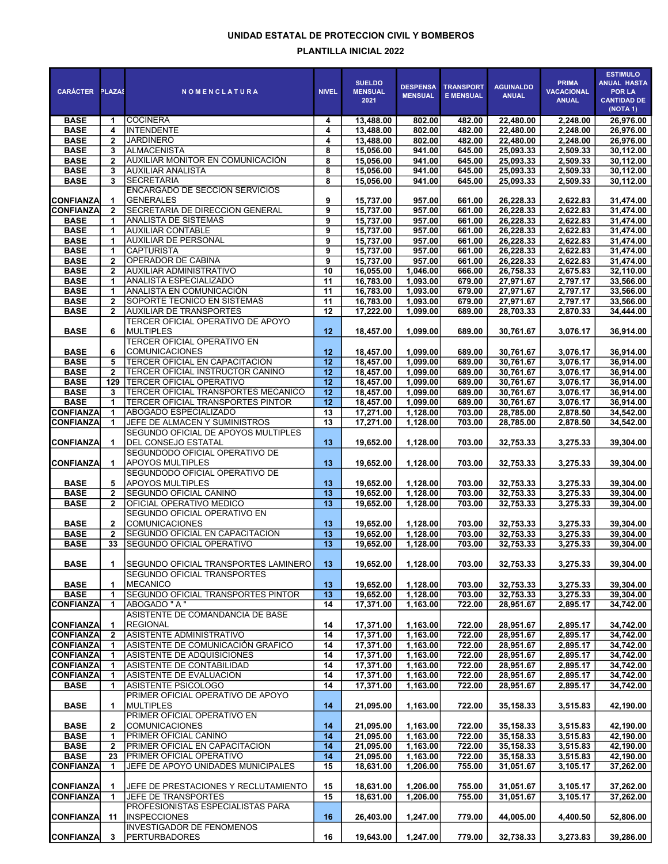## UNIDAD ESTATAL DE PROTECCION CIVIL Y BOMBEROS PLANTILLA INICIAL 2022

| <b>CARÁCTER</b>                      | <b>PLAZAS</b>     | <b>NOMENCLATURA</b>                                        | <b>NIVEL</b>    | <b>SUELDO</b><br><b>MENSUAL</b><br>2021 | <b>DESPENSA</b><br><b>MENSUAL</b> | <b>TRANSPORT</b><br><b>E MENSUAL</b> | <b>AGUINALDO</b><br><b>ANUAL</b> | <b>PRIMA</b><br><b>VACACIONAL</b><br><b>ANUAL</b> | <b>ESTIMULO</b><br><b>ANUAL HASTA</b><br><b>POR LA</b><br><b>CANTIDAD DE</b><br>(NOTA 1) |
|--------------------------------------|-------------------|------------------------------------------------------------|-----------------|-----------------------------------------|-----------------------------------|--------------------------------------|----------------------------------|---------------------------------------------------|------------------------------------------------------------------------------------------|
| <b>BASE</b>                          | 1                 | COCINERA                                                   | 4               | 13,488.00                               | 802.00                            | 482.00                               | 22,480.00                        | 2,248.00                                          | 26,976.00                                                                                |
| <b>BASE</b>                          | 4                 | <b>INTENDENTE</b>                                          | 4               | 13,488.00                               | 802.00                            | 482.00                               | 22,480.00                        | 2,248.00                                          | 26,976.00                                                                                |
| <b>BASE</b>                          | $\mathbf{2}$      | <b>JARDINERO</b>                                           | 4               | 13,488.00                               | 802.00                            | 482.00                               | 22,480.00                        | 2,248.00                                          | 26,976.00                                                                                |
| <b>BASE</b>                          | 3                 | <b>ALMACENISTA</b>                                         | 8               | 15,056.00                               | 941.00                            | 645.00                               | 25,093.33                        | 2,509.33                                          | 30,112.00                                                                                |
| <b>BASE</b>                          | $\mathbf{2}$      | AUXILIAR MONITOR EN COMUNICACIÓN                           | 8               | 15,056.00                               | 941.00                            | 645.00                               | 25,093.33                        | 2,509.33                                          | 30,112.00                                                                                |
| <b>BASE</b>                          | 3                 | AUXILIAR ANALISTA                                          | 8               | 15,056.00                               | 941.00                            | 645.00                               | 25,093.33                        | 2,509.33                                          | 30,112.00                                                                                |
| <b>BASE</b>                          | 3                 | <b>SECRETARIA</b>                                          | 8               | 15,056.00                               | 941.00                            | 645.00                               | 25,093.33                        | 2,509.33                                          | 30,112.00                                                                                |
|                                      |                   | ENCARGADO DE SECCION SERVICIOS                             |                 |                                         |                                   |                                      |                                  |                                                   |                                                                                          |
| <b>CONFIANZA</b><br><b>CONFIANZA</b> | 1                 | <b>GENERALES</b>                                           | 9               | 15,737.00                               | 957.00                            | 661.00                               | 26,228.33                        | 2,622.83                                          | 31,474.00                                                                                |
|                                      | $\overline{2}$    | SECRETARIA DE DIRECCION GENERAL                            | 9               | 15,737.00                               | 957.00                            | 661.00                               | 26,228.33                        | 2,622.83                                          | 31,474.00                                                                                |
| <b>BASE</b>                          | 1                 | <b>ANALISTA DE SISTEMAS</b>                                | 9               | 15,737.00                               | 957.00                            | 661.00                               | 26,228.33                        | 2.622.83                                          | 31,474.00                                                                                |
| <b>BASE</b>                          |                   | <b>AUXILIAR CONTABLE</b>                                   | 9               | 15,737.00                               | 957.00                            | 661.00                               | 26,228.33                        | 2,622.83                                          | 31,474.00                                                                                |
| <b>BASE</b>                          | 1                 | <b>AUXILIAR DE PERSONAL</b>                                | 9<br>9          | 15,737.00                               | 957.00                            | 661.00                               | 26,228.33                        | 2,622.83                                          | 31,474.00                                                                                |
| <b>BASE</b><br><b>BASE</b>           | 1                 | <b>CAPTURISTA</b>                                          |                 | 15,737.00                               | 957.00<br>957.00                  | 661.00                               | 26,228.33                        | 2,622.83                                          | 31,474.00                                                                                |
| <b>BASE</b>                          | $\mathbf{2}$      | OPERADOR DE CABINA<br>AUXILIAR ADMINISTRATIVO              | 9               | 15,737.00                               |                                   | 661.00                               | 26,228.33                        | 2,622.83                                          | 31,474.00                                                                                |
| <b>BASE</b>                          | $\mathbf{2}$<br>1 | <b>ANALISTA ESPECIALIZADO</b>                              | 10<br>11        | 16,055.00<br>16,783.00                  | 1,046.00<br>1,093.00              | 666.00<br>679.00                     | 26,758.33<br>27,971.67           | 2,675.83<br>2,797.17                              | 32,110.00<br>33,566.00                                                                   |
| <b>BASE</b>                          |                   |                                                            |                 |                                         |                                   |                                      |                                  |                                                   |                                                                                          |
| <b>BASE</b>                          | 1                 | ANALISTA EN COMUNICACIÓN<br>SOPORTE TECNICO EN SISTEMAS    | 11              | 16,783.00                               | 1,093.00                          | 679.00                               | 27,971.67                        | 2,797.17                                          | 33,566.00                                                                                |
|                                      | $\mathbf{2}$      | AUXILIAR DE TRANSPORTES                                    | 11              | 16,783.00                               | 1,093.00                          | 679.00                               | 27,971.67                        | 2,797.17                                          | 33,566.00                                                                                |
| <b>BASE</b>                          | $\mathbf{2}$      |                                                            | 12              | 17,222.00                               | 1,099.00                          | 689.00                               | 28,703.33                        | 2,870.33                                          | 34,444.00                                                                                |
| <b>BASE</b>                          | 6                 | TERCER OFICIAL OPERATIVO DE APOYO<br>IMULTIPLES            | 12              | 18,457.00                               | 1,099.00                          | 689.00                               | 30,761.67                        | 3,076.17                                          | 36,914.00                                                                                |
| <b>BASE</b>                          | 6                 | TERCER OFICIAL OPERATIVO EN<br> COMUNICACIONES             | 12              | 18,457.00                               | 1,099.00                          | 689.00                               | 30,761.67                        | 3,076.17                                          | 36,914.00                                                                                |
| <b>BASE</b>                          | 5                 | <b>TERCER OFICIAL EN CAPACITACION</b>                      | 12              | 18,457.00                               | 1,099.00                          | 689.00                               | 30,761.67                        | 3,076.17                                          | 36,914.00                                                                                |
| <b>BASE</b>                          | $\mathbf{2}$      | <b>TERCER OFICIAL INSTRUCTOR CANINO</b>                    | $\overline{12}$ | 18,457.00                               | 1,099.00                          | 689.00                               | 30,761.67                        | 3,076.17                                          | 36,914.00                                                                                |
| <b>BASE</b>                          | 129               | <b>TERCER OFICIAL OPERATIVO</b>                            | 12              | 18,457.00                               | 1,099.00                          | 689.00                               | 30,761.67                        | 3,076.17                                          | 36,914.00                                                                                |
| <b>BASE</b>                          | 3                 | TERCER OFICIAL TRANSPORTES MECANICO                        | $\overline{12}$ | 18,457.00                               | 1,099.00                          | 689.00                               | 30,761.67                        | 3,076.17                                          | 36,914.00                                                                                |
| <b>BASE</b>                          | 1                 | <b>TERCER OFICIAL TRANSPORTES PINTOR</b>                   | $\overline{12}$ | 18,457.00                               | 1,099.00                          | 689.00                               | 30,761.67                        | 3,076.17                                          | 36,914.00                                                                                |
| <b>CONFIANZA</b>                     | 1                 | ABOGADO ESPECIALIZADO                                      | 13              | 17,271.00                               | 1,128.00                          | 703.00                               | 28,785.00                        | 2,878.50                                          | 34,542.00                                                                                |
| <b>CONFIANZA</b>                     | 1.                | JEFE DE ALMACEN Y SUMINISTROS                              | 13              | 17,271.00                               | 1,128.00                          | 703.00                               | 28,785.00                        | 2,878.50                                          | 34,542.00                                                                                |
| <b>CONFIANZA</b>                     | 1                 | SEGUNDO OFICIAL DE APOYOS MULTIPLES<br>DEL CONSEJO ESTATAL | 13              | 19,652.00                               | 1,128.00                          | 703.00                               | 32,753.33                        | 3,275.33                                          | 39,304.00                                                                                |
| <b>CONFIANZA</b>                     | 1.                | SEGUNDODO OFICIAL OPERATIVO DE<br><b>APOYOS MULTIPLES</b>  | 13              | 19,652.00                               | 1,128.00                          | 703.00                               | 32,753.33                        | 3,275.33                                          | 39,304.00                                                                                |
|                                      |                   | SEGUNDODO OFICIAL OPERATIVO DE                             |                 |                                         |                                   |                                      |                                  |                                                   |                                                                                          |
| <b>BASE</b>                          | 5                 | APOYOS MULTIPLES                                           | 13              | 19,652.00                               | 1,128.00                          | 703.00                               | 32,753.33                        | 3,275.33                                          | 39,304.00                                                                                |
| <b>BASE</b>                          | $\mathbf{2}$      | <b>SEGUNDO OFICIAL CANINO</b>                              | 13              | 19,652.00                               | 1,128.00                          | 703.00                               | 32,753.33                        | 3,275.33                                          | 39,304.00                                                                                |
| <b>BASE</b>                          | $\mathbf{2}$      | OFICIAL OPERATIVO MEDICO                                   | 13              | 19,652.00                               | 1,128.00                          | 703.00                               | 32,753.33                        | 3,275.33                                          | 39,304.00                                                                                |
|                                      |                   | SEGUNDO OFICIAL OPERATIVO EN                               |                 |                                         |                                   |                                      |                                  |                                                   |                                                                                          |
| <b>BASE</b>                          | $\mathbf{2}$      | <i><b>ICOMUNICACIONES</b></i>                              | 13              | 19,652.00                               | 1,128.00                          | 703.00                               | 32,753.33                        | 3,275.33                                          | 39,304.00                                                                                |
| <b>BASE</b>                          | $\mathbf{2}$      | SEGUNDO OFICIAL EN CAPACITACION                            | 13              | 19,652.00                               | 1,128.00                          | 703.00                               | 32,753.33                        | 3,275.33                                          | 39,304.00                                                                                |
| <b>BASE</b>                          | 33                | SEGUNDO OFICIAL OPERATIVO                                  | $\overline{13}$ | 19,652.00                               | 1.128.00                          | 703.00                               | 32,753.33                        | 3,275.33                                          | 39,304.00                                                                                |
| <b>BASE</b>                          |                   | SEGUNDO OFICIAL TRANSPORTES LAMINERO                       | 13 <sup>°</sup> | 19,652.00                               | 1,128.00                          | 703.00                               | 32,753.33                        | 3,275.33                                          | 39,304.00                                                                                |
| <b>BASE</b>                          |                   | SEGUNDO OFICIAL TRANSPORTES<br><b>IMECANICO</b>            | 13              |                                         | 1,128.00                          |                                      |                                  |                                                   |                                                                                          |
|                                      | 1                 |                                                            |                 | 19,652.00                               |                                   | 703.00                               | 32,753.33                        | 3,275.33                                          | 39,304.00                                                                                |
| <b>BASE</b><br><b>CONFIANZA</b>      | 1.<br>1           | <b>SEGUNDO OFICIAL TRANSPORTES PINTOR</b>                  | 13<br>14        | 19,652.00<br>17,371.00                  | 1,128.00                          | 703.00                               | 32,753.33                        | 3,275.33<br>2,895.17                              | 39,304.00                                                                                |
|                                      |                   | ABOGADO " A "<br>ASISTENTE DE COMANDANCIA DE BASE          |                 |                                         | 1,163.00                          | 722.00                               | 28,951.67                        |                                                   | 34,742.00                                                                                |
| <b>CONFIANZA</b>                     | 1                 | <b>REGIONAL</b>                                            | 14              | 17,371.00                               | 1,163.00                          | 722.00                               | 28,951.67                        | 2,895.17                                          | 34,742.00                                                                                |
| <b>CONFIANZA</b>                     | $\overline{2}$    | <b>ASISTENTE ADMINISTRATIVO</b>                            | 14              | 17,371.00                               | 1,163.00                          | 722.00                               | 28,951.67                        | 2,895.17                                          | 34,742.00                                                                                |
| <b>CONFIANZA</b>                     | 1                 | ASISTENTE DE COMUNICACIÓN GRAFICO                          | 14              | 17,371.00                               | 1,163.00                          | 722.00                               | 28,951.67                        | 2,895.17                                          | 34,742.00                                                                                |
| <b>CONFIANZA</b>                     | 1                 | ASISTENTE DE ADQUISICIONES                                 | 14              | 17,371.00                               | 1,163.00                          | 722.00                               | 28,951.67                        | 2,895.17                                          | 34,742.00                                                                                |
| <b>CONFIANZA</b>                     | 1.                | ASISTENTE DE CONTABILIDAD                                  | 14              | 17,371.00                               | 1,163.00                          | 722.00                               | 28,951.67                        | 2,895.17                                          | 34,742.00                                                                                |
| <b>CONFIANZA</b>                     | 1                 | ASISTENTE DE EVALUACION                                    | 14              | 17,371.00                               | 1,163.00                          | 722.00                               | 28,951.67                        | 2,895.17                                          | 34,742.00                                                                                |
| <b>BASE</b>                          | 1                 | ASISTENTE PSICOLOGO<br>PRIMER OFICIAL OPERATIVO DE APOYO   | 14              | 17,371.00                               | 1,163.00                          | 722.00                               | 28,951.67                        | 2,895.17                                          | 34,742.00                                                                                |
| <b>BASE</b>                          | 1                 | MULTIPLES<br>PRIMER OFICIAL OPERATIVO EN                   | 14              | 21,095.00                               | 1,163.00                          | 722.00                               | 35,158.33                        | 3,515.83                                          | 42,190.00                                                                                |
| <b>BASE</b>                          | $\mathbf{2}$      | <b>COMUNICACIONES</b>                                      | 14              | 21,095.00                               | 1,163.00                          | 722.00                               | 35,158.33                        | 3,515.83                                          | 42,190.00                                                                                |
| <b>BASE</b>                          | 1                 | <b>PRIMER OFICIAL CANINO</b>                               | 14              | 21,095.00                               | 1,163.00                          | 722.00                               | 35, 158.33                       | 3,515.83                                          | 42,190.00                                                                                |
| <b>BASE</b>                          | $\mathbf{2}$      | PRIMER OFICIAL EN CAPACITACION                             | 14              | 21,095.00                               | 1,163.00                          | 722.00                               | 35, 158.33                       | 3,515.83                                          | 42,190.00                                                                                |
| <b>BASE</b>                          | 23                | <b>PRIMER OFICIAL OPERATIVO</b>                            | 14              | 21,095.00                               | 1,163.00                          | 722.00                               | 35,158.33                        | 3,515.83                                          | 42,190.00                                                                                |
| <b>CONFIANZA</b>                     | 1                 | JEFE DE APOYO UNIDADES MUNICIPALES                         | 15              | 18,631.00                               | 1,206.00                          | 755.00                               | 31,051.67                        | 3,105.17                                          | 37,262.00                                                                                |
| <b>CONFIANZA</b>                     | 1                 | JEFE DE PRESTACIONES Y RECLUTAMIENTO                       | 15              | 18,631.00                               | 1,206.00                          | 755.00                               | 31,051.67                        | 3,105.17                                          | 37,262.00                                                                                |
| <b>CONFIANZA</b>                     | 1                 | JEFE DE TRANSPORTES                                        | 15              | 18,631.00                               | 1,206.00                          | 755.00                               | 31,051.67                        | 3,105.17                                          | 37,262.00                                                                                |
|                                      |                   | PROFESIONISTAS ESPECIALISTAS PARA                          |                 |                                         |                                   |                                      |                                  |                                                   |                                                                                          |
| <b>CONFIANZA</b>                     | 11                | <b>INSPECCIONES</b><br><b>INVESTIGADOR DE FENOMENOS</b>    | 16              | 26,403.00                               | 1,247.00                          | 779.00                               | 44,005.00                        | 4,400.50                                          | 52,806.00                                                                                |
| <b>CONFIANZA</b>                     | 3                 | <b>PERTURBADORES</b>                                       | 16              | 19,643.00                               | 1,247.00                          | 779.00                               | 32,738.33                        | 3,273.83                                          | 39,286.00                                                                                |